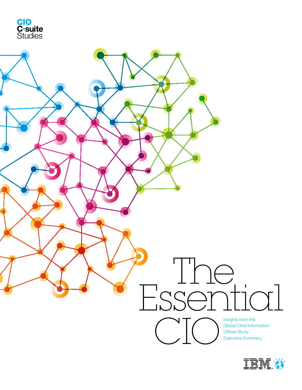



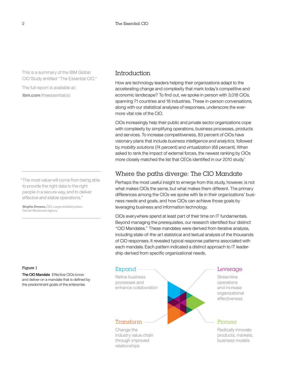This is a summary of the IBM Global CIO Study entitled "The Essential CIO."

The full report is available at: **ibm.com**/theessentialcio

"The most value will come from being able to provide the right data to the right people in a secure way, and to deliver effective and stable operations."

**Birgitte Drewes,** CIO, Lægemiddelstyrelsen, Danish Medicines Agency

### Figure 1

The CIO Mandate Effective CIOs know and deliver on a mandate that is defined by the predominant goals of the enterprise.

### Introduction

How are technology leaders helping their organizations adapt to the accelerating change and complexity that mark today's competitive and economic landscape? To find out, we spoke in person with 3,018 CIOs, spanning 71 countries and 18 industries. These in-person conversations, along with our statistical analyses of responses, underscore the evermore vital role of the CIO.

CIOs increasingly help their public and private sector organizations cope with complexity by simplifying operations, business processes, products and services. To increase competitiveness, 83 percent of CIOs have visionary plans that include *business intelligence and analytics,* followed by *mobility solutions* (74 percent) and *virtualization* (68 percent). When asked to rank the impact of external forces, the newest ranking by CIOs more closely matched the list that CEOs identified in our 2010 study.<sup>1</sup>

## Where the paths diverge: The CIO Mandate

Perhaps the most useful insight to emerge from this study, however, is not what makes CIOs the same, but what makes them different. The primary differences among the CIOs we spoke with lie in their organizations' business needs and goals, and how CIOs can achieve those goals by leveraging business and information technology.

CIOs everywhere spend at least part of their time on IT fundamentals. Beyond managing the prerequisites, our research identified four distinct "CIO Mandates." These mandates were derived from iterative analysis, including state-of-the-art statistical and textual analysis of the thousands of CIO responses. It revealed typical response patterns associated with each mandate. Each pattern indicated a distinct approach to IT leadership derived from specific organizational needs.



products, markets,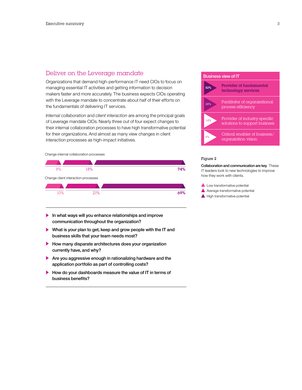### Deliver on the Leverage mandate

Organizations that demand high-performance IT need CIOs to focus on managing essential IT activities and getting information to decision makers faster and more accurately. The business expects CIOs operating with the Leverage mandate to concentrate about half of their efforts on the fundamentals of delivering IT services.

*Internal collaboration* and *client interaction* are among the principal goals of Leverage mandate CIOs. Nearly three out of four expect changes to their internal collaboration processes to have high transformative potential for their organizations. And almost as many view changes in client interaction processes as high-impact initiatives.



- In what ways will you enhance relationships and improve communication throughout the organization?
- What is your plan to get, keep and grow people with the IT and business skills that your team needs most?
- How many disparate architectures does your organization currently have, and why?
- Are you aggressive enough in rationalizing hardware and the application portfolio as part of controlling costs?
- How do your dashboards measure the value of IT in terms of business benefits?

#### Business view of IT



### Figure 2

Collaboration and communication are key These IT leaders look to new technologies to improve how they work with clients.

- Low transformative potential
- Average transformative potential
- $\blacktriangle$  High transformative potential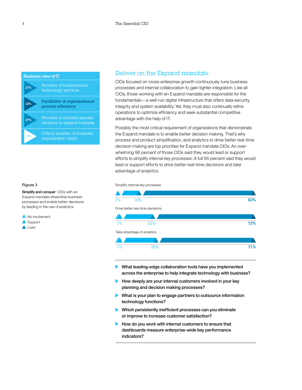

### Figure 3

Simplify and conquer CIOs with an Expand mandate streamline business processes and enable better decisions by leading in the use of analytics.

#### **A** No involvement

- Support
- **A** Lead

### Deliver on the Expand mandate

CIOs focused on cross-enterprise growth continuously tune business processes and internal collaboration to gain tighter integration. Like all CIOs, those working with an Expand mandate are responsible for the fundamentals—a well-run digital infrastructure that offers data security, integrity and system availability. Yet, they must also continually refine operations to optimize efficiency and seek substantial competitive advantage with the help of IT.

Possibly the most critical requirement of organizations that demonstrate the Expand mandate is to enable better decision making. That's why process and product simplification, and analytics to drive better real-time decision making are top priorities for Expand mandate CIOs. An overwhelming 98 percent of those CIOs said they would lead or support efforts to *simplify internal key processes*. A full 95 percent said they would lead or support efforts to *drive better real-time decisions* and *take advantage of analytics*.

Simplify internal key processes



- What leading-edge collaboration tools have you implemented across the enterprise to help integrate technology with business?
- $\blacktriangleright$  How deeply are your internal customers involved in your key planning and decision making processes?
- $\blacktriangleright$  What is your plan to engage partners to outsource information technology functions?
- Which persistently inefficient processes can you eliminate or improve to increase customer satisfaction?
- $\blacktriangleright$  How do you work with internal customers to ensure that dashboards measure enterprise-wide key performance indicators?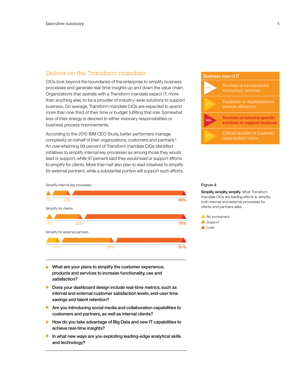## Deliver on the Transform mandate

CIOs look beyond the boundaries of the enterprise to simplify business processes and generate real-time insights up and down the value chain. Organizations that operate with a Transform mandate expect IT, more than anything else, to be a provider of industry-wide solutions to support business. On average, Transform mandate CIOs are expected to spend more than one-third of their time or budget fulfilling that role. Somewhat less of their energy is devoted to either visionary responsibilities or business process improvements.

According to the 2010 IBM CEO Study, better performers manage complexity on behalf of their organizations, customers and partners.<sup>2</sup> An overwhelming 99 percent of Transform mandate CIOs identified initiatives to *simplify internal key processes* as among those they would lead or support, while 97 percent said they would lead or support efforts to *simplify for clients*. More than half also plan to lead initiatives to *simplify for external partners*, while a substantial portion will support such efforts.



Simplify internal key processes



- What are your plans to simplify the customer experience, products and services to increase functionality, use and satisfaction?
- Does your dashboard design include real-time metrics, such as internal and external customer satisfaction levels, end-user time savings and talent retention?
- Are you introducing social media and collaboration capabilities to customers and partners, as well as internal clients?
- How do you take advantage of Big Data and new IT capabilities to achieve real-time insights?
- In what new ways are you exploiting leading-edge analytical skills and technology?

#### Figure 4

Simplify, simplify, simplify Most Transform mandate CIOs are leading efforts to simplify both internal and external processes for clients and partners alike.

No involvement Support **A** Lead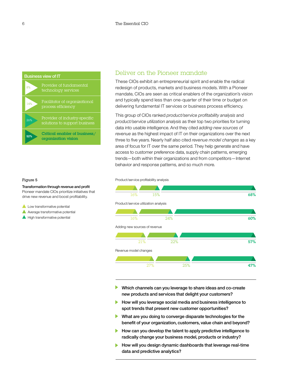

## Deliver on the Pioneer mandate

These CIOs exhibit an entrepreneurial spirit and enable the radical redesign of products, markets and business models. With a Pioneer mandate, CIOs are seen as critical enablers of the organization's vision and typically spend less than one-quarter of their time or budget on delivering fundamental IT services or business process efficiency.

This group of CIOs ranked *product/service profitability analysis* and *product/service utilization analysis* as their top two priorities for turning data into usable intelligence. And they cited *adding new sources of revenue* as the highest impact of IT on their organizations over the next three to five years. Nearly half also cited *revenue model changes* as a key area of focus for IT over the same period. They help generate and have access to customer preference data, supply chain patterns, emerging trends—both within their organizations and from competitors—Internet behavior and response patterns, and so much more.

#### Figure 5

Transformation through revenue and profit Pioneer mandate CIOs prioritize initiatives that drive new revenue and boost profitability.

- Low transformative potential
- Average transformative potential
- $\blacktriangle$  High transformative potential





- Which channels can you leverage to share ideas and co-create new products and services that delight your customers?
- How will you leverage social media and business intelligence to spot trends that present new customer opportunities?
- What are you doing to converge disparate technologies for the benefit of your organization, customers, value chain and beyond?
- How can you develop the talent to apply predictive intelligence to radically change your business model, products or industry?
- How will you design dynamic dashboards that leverage real-time data and predictive analytics?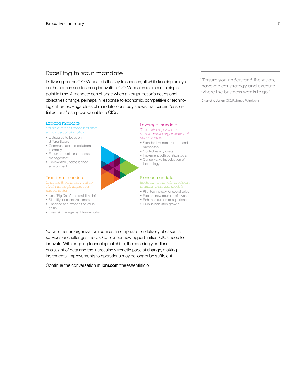# Excelling in your mandate

Delivering on the CIO Mandate is the key to success, all while keeping an eye on the horizon and fostering innovation. CIO Mandates represent a single point in time. A mandate can change when an organization's needs and objectives change, perhaps in response to economic, competitive or technological forces. Regardless of mandate, our study shows that certain "essential actions" can prove valuable to CIOs.

#### Expand mandate

*Refine business processes and enhance collaboration*

- Outsource to focus on
- differentiators
- • Communicate and collaborate
- internally
- • Focus on business process management
- Review and update legacy environment

#### Transform mandate

*chain through improved relationships*

- • Use "Big Data" and real-time info
- Simplify for clients/partners
- • Enhance and expand the value
- chain
- Use risk management frameworks

#### Leverage mandate *Streamline operations and increase organizational*

- *effectiveness* • Standardize infrastructure and
- processes
- • Control legacy costs
- Implement collaboration tools
- • Conservative introduction of technology

### Pioneer mandate *Radically innovate products,*

- • Pilot technology for social value
- Explore new sources of revenue
- • Enhance customer experience
- Pursue non-stop growth

Yet whether an organization requires an emphasis on delivery of essential IT services or challenges the CIO to pioneer new opportunities, CIOs need to innovate. With ongoing technological shifts, the seemingly endless onslaught of data and the increasingly frenetic pace of change, making incremental improvements to operations may no longer be sufficient.

Continue the conversation at ibm.com/theessentialcio

""Ensure you understand the vision, have a clear strategy and execute where the business wants to go."

**Charlotte Jones,** CIO, Reliance Petroleum